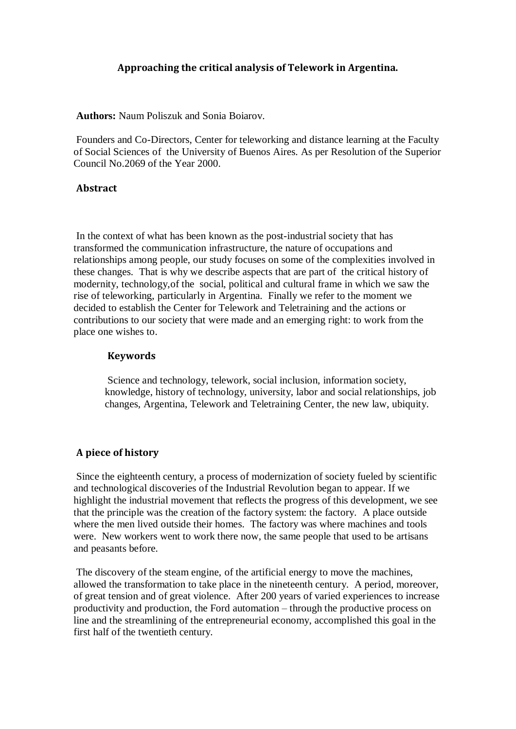# **Approaching the critical analysis of Telework in Argentina.**

**Authors:** Naum Poliszuk and Sonia Boiarov.

Founders and Co-Directors, Center for teleworking and distance learning at the Faculty of Social Sciences of the University of Buenos Aires. As per Resolution of the Superior Council No.2069 of the Year 2000.

## **Abstract**

In the context of what has been known as the post-industrial society that has transformed the communication infrastructure, the nature of occupations and relationships among people, our study focuses on some of the complexities involved in these changes. That is why we describe aspects that are part of the critical history of modernity, technology,of the social, political and cultural frame in which we saw the rise of teleworking, particularly in Argentina. Finally we refer to the moment we decided to establish the Center for Telework and Teletraining and the actions or contributions to our society that were made and an emerging right: to work from the place one wishes to.

# **Keywords**

Science and technology, telework, social inclusion, information society, knowledge, history of technology, university, labor and social relationships, job changes, Argentina, Telework and Teletraining Center, the new law, ubiquity.

# **A piece of history**

Since the eighteenth century, a process of modernization of society fueled by scientific and technological discoveries of the Industrial Revolution began to appear. If we highlight the industrial movement that reflects the progress of this development, we see that the principle was the creation of the factory system: the factory. A place outside where the men lived outside their homes. The factory was where machines and tools were. New workers went to work there now, the same people that used to be artisans and peasants before.

The discovery of the steam engine, of the artificial energy to move the machines, allowed the transformation to take place in the nineteenth century. A period, moreover, of great tension and of great violence. After 200 years of varied experiences to increase productivity and production, the Ford automation – through the productive process on line and the streamlining of the entrepreneurial economy, accomplished this goal in the first half of the twentieth century.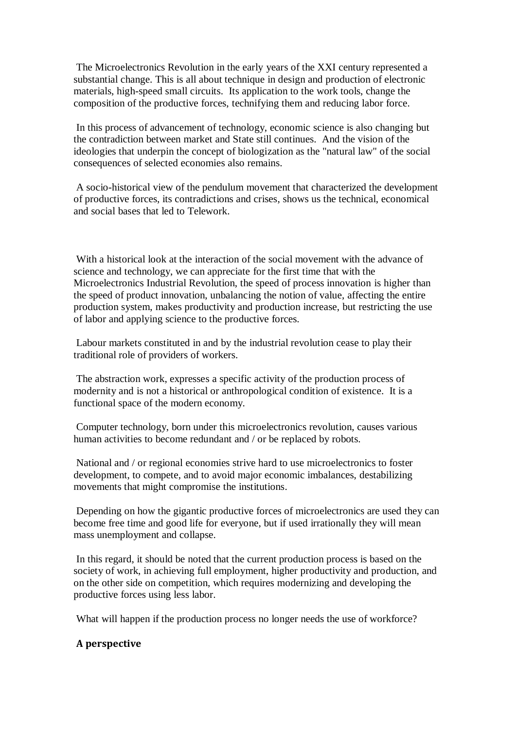The Microelectronics Revolution in the early years of the XXI century represented a substantial change. This is all about technique in design and production of electronic materials, high-speed small circuits. Its application to the work tools, change the composition of the productive forces, technifying them and reducing labor force.

In this process of advancement of technology, economic science is also changing but the contradiction between market and State still continues. And the vision of the ideologies that underpin the concept of biologization as the "natural law" of the social consequences of selected economies also remains.

A socio-historical view of the pendulum movement that characterized the development of productive forces, its contradictions and crises, shows us the technical, economical and social bases that led to Telework.

With a historical look at the interaction of the social movement with the advance of science and technology, we can appreciate for the first time that with the Microelectronics Industrial Revolution, the speed of process innovation is higher than the speed of product innovation, unbalancing the notion of value, affecting the entire production system, makes productivity and production increase, but restricting the use of labor and applying science to the productive forces.

Labour markets constituted in and by the industrial revolution cease to play their traditional role of providers of workers.

The abstraction work, expresses a specific activity of the production process of modernity and is not a historical or anthropological condition of existence. It is a functional space of the modern economy.

Computer technology, born under this microelectronics revolution, causes various human activities to become redundant and / or be replaced by robots.

National and / or regional economies strive hard to use microelectronics to foster development, to compete, and to avoid major economic imbalances, destabilizing movements that might compromise the institutions.

Depending on how the gigantic productive forces of microelectronics are used they can become free time and good life for everyone, but if used irrationally they will mean mass unemployment and collapse.

In this regard, it should be noted that the current production process is based on the society of work, in achieving full employment, higher productivity and production, and on the other side on competition, which requires modernizing and developing the productive forces using less labor.

What will happen if the production process no longer needs the use of workforce?

## **A perspective**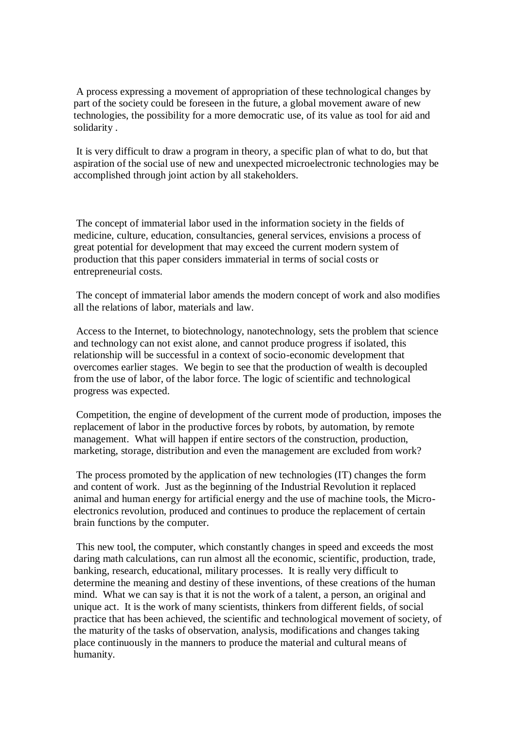A process expressing a movement of appropriation of these technological changes by part of the society could be foreseen in the future, a global movement aware of new technologies, the possibility for a more democratic use, of its value as tool for aid and solidarity .

It is very difficult to draw a program in theory, a specific plan of what to do, but that aspiration of the social use of new and unexpected microelectronic technologies may be accomplished through joint action by all stakeholders.

The concept of immaterial labor used in the information society in the fields of medicine, culture, education, consultancies, general services, envisions a process of great potential for development that may exceed the current modern system of production that this paper considers immaterial in terms of social costs or entrepreneurial costs.

The concept of immaterial labor amends the modern concept of work and also modifies all the relations of labor, materials and law.

Access to the Internet, to biotechnology, nanotechnology, sets the problem that science and technology can not exist alone, and cannot produce progress if isolated, this relationship will be successful in a context of socio-economic development that overcomes earlier stages. We begin to see that the production of wealth is decoupled from the use of labor, of the labor force. The logic of scientific and technological progress was expected.

Competition, the engine of development of the current mode of production, imposes the replacement of labor in the productive forces by robots, by automation, by remote management. What will happen if entire sectors of the construction, production, marketing, storage, distribution and even the management are excluded from work?

The process promoted by the application of new technologies (IT) changes the form and content of work. Just as the beginning of the Industrial Revolution it replaced animal and human energy for artificial energy and the use of machine tools, the Microelectronics revolution, produced and continues to produce the replacement of certain brain functions by the computer.

This new tool, the computer, which constantly changes in speed and exceeds the most daring math calculations, can run almost all the economic, scientific, production, trade, banking, research, educational, military processes. It is really very difficult to determine the meaning and destiny of these inventions, of these creations of the human mind. What we can say is that it is not the work of a talent, a person, an original and unique act. It is the work of many scientists, thinkers from different fields, of social practice that has been achieved, the scientific and technological movement of society, of the maturity of the tasks of observation, analysis, modifications and changes taking place continuously in the manners to produce the material and cultural means of humanity.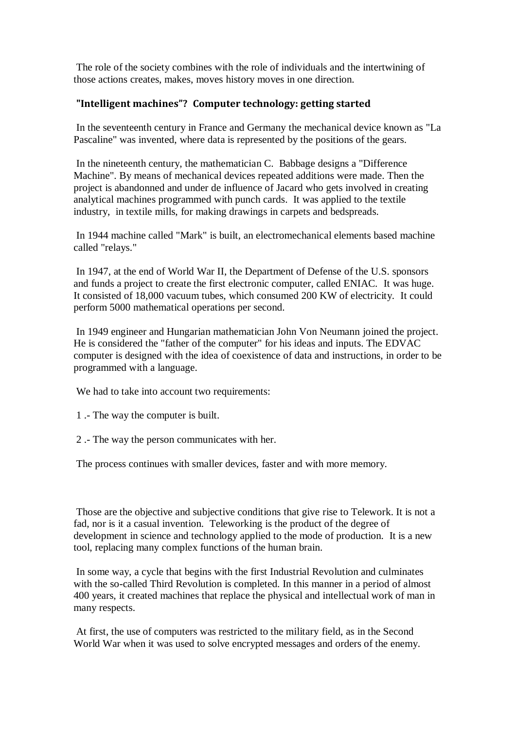The role of the society combines with the role of individuals and the intertwining of those actions creates, makes, moves history moves in one direction.

# **"Intelligent machines"? Computer technology: getting started**

In the seventeenth century in France and Germany the mechanical device known as "La Pascaline" was invented, where data is represented by the positions of the gears.

In the nineteenth century, the mathematician C. Babbage designs a "Difference Machine". By means of mechanical devices repeated additions were made. Then the project is abandonned and under de influence of Jacard who gets involved in creating analytical machines programmed with punch cards. It was applied to the textile industry, in textile mills, for making drawings in carpets and bedspreads.

In 1944 machine called "Mark" is built, an electromechanical elements based machine called "relays."

In 1947, at the end of World War II, the Department of Defense of the U.S. sponsors and funds a project to create the first electronic computer, called ENIAC. It was huge. It consisted of 18,000 vacuum tubes, which consumed 200 KW of electricity. It could perform 5000 mathematical operations per second.

In 1949 engineer and Hungarian mathematician John Von Neumann joined the project. He is considered the "father of the computer" for his ideas and inputs. The EDVAC computer is designed with the idea of coexistence of data and instructions, in order to be programmed with a language.

We had to take into account two requirements:

1 .- The way the computer is built.

2 .- The way the person communicates with her.

The process continues with smaller devices, faster and with more memory.

Those are the objective and subjective conditions that give rise to Telework. It is not a fad, nor is it a casual invention. Teleworking is the product of the degree of development in science and technology applied to the mode of production. It is a new tool, replacing many complex functions of the human brain.

In some way, a cycle that begins with the first Industrial Revolution and culminates with the so-called Third Revolution is completed. In this manner in a period of almost 400 years, it created machines that replace the physical and intellectual work of man in many respects.

At first, the use of computers was restricted to the military field, as in the Second World War when it was used to solve encrypted messages and orders of the enemy.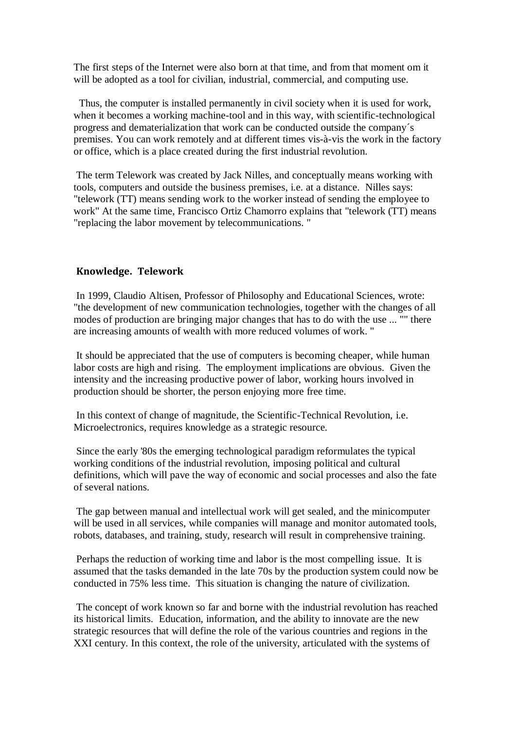The first steps of the Internet were also born at that time, and from that moment om it will be adopted as a tool for civilian, industrial, commercial, and computing use.

Thus, the computer is installed permanently in civil society when it is used for work, when it becomes a working machine-tool and in this way, with scientific-technological progress and dematerialization that work can be conducted outside the company´s premises. You can work remotely and at different times vis-à-vis the work in the factory or office, which is a place created during the first industrial revolution.

The term Telework was created by Jack Nilles, and conceptually means working with tools, computers and outside the business premises, i.e. at a distance. Nilles says: "telework (TT) means sending work to the worker instead of sending the employee to work" At the same time, Francisco Ortiz Chamorro explains that "telework (TT) means "replacing the labor movement by telecommunications. "

#### **Knowledge. Telework**

In 1999, Claudio Altisen, Professor of Philosophy and Educational Sciences, wrote: "the development of new communication technologies, together with the changes of all modes of production are bringing major changes that has to do with the use ... "" there are increasing amounts of wealth with more reduced volumes of work. "

It should be appreciated that the use of computers is becoming cheaper, while human labor costs are high and rising. The employment implications are obvious. Given the intensity and the increasing productive power of labor, working hours involved in production should be shorter, the person enjoying more free time.

In this context of change of magnitude, the Scientific-Technical Revolution, i.e. Microelectronics, requires knowledge as a strategic resource.

Since the early '80s the emerging technological paradigm reformulates the typical working conditions of the industrial revolution, imposing political and cultural definitions, which will pave the way of economic and social processes and also the fate of several nations.

The gap between manual and intellectual work will get sealed, and the minicomputer will be used in all services, while companies will manage and monitor automated tools, robots, databases, and training, study, research will result in comprehensive training.

Perhaps the reduction of working time and labor is the most compelling issue. It is assumed that the tasks demanded in the late 70s by the production system could now be conducted in 75% less time. This situation is changing the nature of civilization.

The concept of work known so far and borne with the industrial revolution has reached its historical limits. Education, information, and the ability to innovate are the new strategic resources that will define the role of the various countries and regions in the XXI century. In this context, the role of the university, articulated with the systems of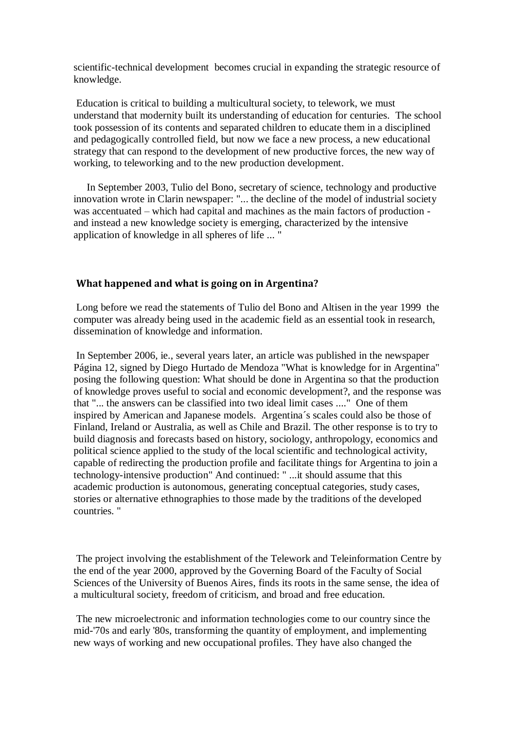scientific-technical development becomes crucial in expanding the strategic resource of knowledge.

Education is critical to building a multicultural society, to telework, we must understand that modernity built its understanding of education for centuries. The school took possession of its contents and separated children to educate them in a disciplined and pedagogically controlled field, but now we face a new process, a new educational strategy that can respond to the development of new productive forces, the new way of working, to teleworking and to the new production development.

 In September 2003, Tulio del Bono, secretary of science, technology and productive innovation wrote in Clarin newspaper: "... the decline of the model of industrial society was accentuated – which had capital and machines as the main factors of production and instead a new knowledge society is emerging, characterized by the intensive application of knowledge in all spheres of life ... "

## **What happened and what is going on in Argentina?**

Long before we read the statements of Tulio del Bono and Altisen in the year 1999 the computer was already being used in the academic field as an essential took in research, dissemination of knowledge and information.

In September 2006, ie., several years later, an article was published in the newspaper Página 12, signed by Diego Hurtado de Mendoza "What is knowledge for in Argentina" posing the following question: What should be done in Argentina so that the production of knowledge proves useful to social and economic development?, and the response was that "... the answers can be classified into two ideal limit cases ...." One of them inspired by American and Japanese models. Argentina´s scales could also be those of Finland, Ireland or Australia, as well as Chile and Brazil. The other response is to try to build diagnosis and forecasts based on history, sociology, anthropology, economics and political science applied to the study of the local scientific and technological activity, capable of redirecting the production profile and facilitate things for Argentina to join a technology-intensive production" And continued: " ...it should assume that this academic production is autonomous, generating conceptual categories, study cases, stories or alternative ethnographies to those made by the traditions of the developed countries. "

The project involving the establishment of the Telework and Teleinformation Centre by the end of the year 2000, approved by the Governing Board of the Faculty of Social Sciences of the University of Buenos Aires, finds its roots in the same sense, the idea of a multicultural society, freedom of criticism, and broad and free education.

The new microelectronic and information technologies come to our country since the mid-'70s and early '80s, transforming the quantity of employment, and implementing new ways of working and new occupational profiles. They have also changed the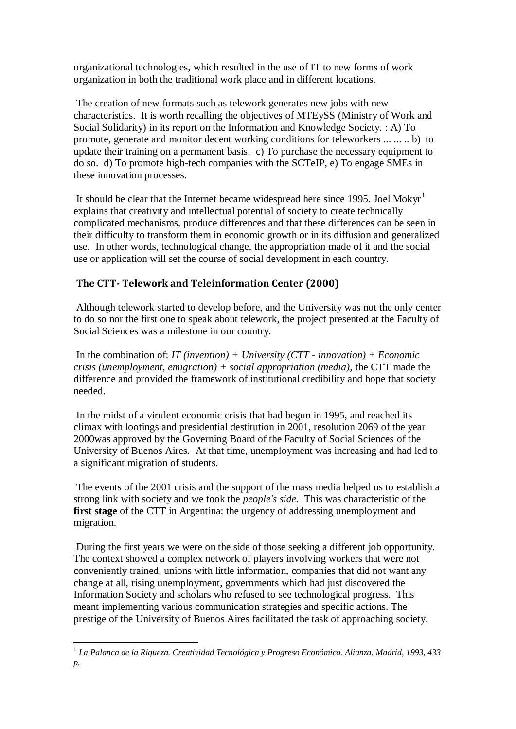organizational technologies, which resulted in the use of IT to new forms of work organization in both the traditional work place and in different locations.

The creation of new formats such as telework generates new jobs with new characteristics. It is worth recalling the objectives of MTEySS (Ministry of Work and Social Solidarity) in its report on the Information and Knowledge Society. : A) To promote, generate and monitor decent working conditions for teleworkers ... ... .. b) to update their training on a permanent basis. c) To purchase the necessary equipment to do so. d) To promote high-tech companies with the SCTeIP, e) To engage SMEs in these innovation processes.

It should be clear that the Internet became widespread here since 1995. Joel Mokyr<sup>1</sup> explains that creativity and intellectual potential of society to create technically complicated mechanisms, produce differences and that these differences can be seen in their difficulty to transform them in economic growth or in its diffusion and generalized use. In other words, technological change, the appropriation made of it and the social use or application will set the course of social development in each country.

# **The CTT- Telework and Teleinformation Center (2000)**

Although telework started to develop before, and the University was not the only center to do so nor the first one to speak about telework, the project presented at the Faculty of Social Sciences was a milestone in our country.

In the combination of: *IT (invention) + University (CTT - innovation) + Economic crisis (unemployment, emigration) + social appropriation (media),* the CTT made the difference and provided the framework of institutional credibility and hope that society needed.

In the midst of a virulent economic crisis that had begun in 1995, and reached its climax with lootings and presidential destitution in 2001, resolution 2069 of the year 2000was approved by the Governing Board of the Faculty of Social Sciences of the University of Buenos Aires. At that time, unemployment was increasing and had led to a significant migration of students.

The events of the 2001 crisis and the support of the mass media helped us to establish a strong link with society and we took the *people's side.* This was characteristic of the **first stage** of the CTT in Argentina: the urgency of addressing unemployment and migration.

During the first years we were on the side of those seeking a different job opportunity. The context showed a complex network of players involving workers that were not conveniently trained, unions with little information, companies that did not want any change at all, rising unemployment, governments which had just discovered the Information Society and scholars who refused to see technological progress. This meant implementing various communication strategies and specific actions. The prestige of the University of Buenos Aires facilitated the task of approaching society.

 $\overline{a}$ 

<sup>1</sup> *La Palanca de la Riqueza. Creatividad Tecnológica y Progreso Económico. Alianza. Madrid, 1993, 433 p.*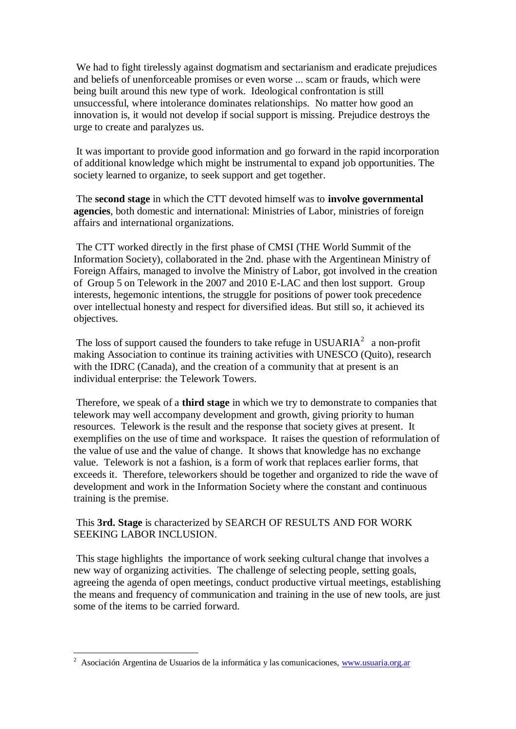We had to fight tirelessly against dogmatism and sectarianism and eradicate prejudices and beliefs of unenforceable promises or even worse ... scam or frauds, which were being built around this new type of work. Ideological confrontation is still unsuccessful, where intolerance dominates relationships. No matter how good an innovation is, it would not develop if social support is missing. Prejudice destroys the urge to create and paralyzes us.

It was important to provide good information and go forward in the rapid incorporation of additional knowledge which might be instrumental to expand job opportunities. The society learned to organize, to seek support and get together.

The **second stage** in which the CTT devoted himself was to **involve governmental agencies**, both domestic and international: Ministries of Labor, ministries of foreign affairs and international organizations.

The CTT worked directly in the first phase of CMSI (THE World Summit of the Information Society), collaborated in the 2nd. phase with the Argentinean Ministry of Foreign Affairs, managed to involve the Ministry of Labor, got involved in the creation of Group 5 on Telework in the 2007 and 2010 E-LAC and then lost support. Group interests, hegemonic intentions, the struggle for positions of power took precedence over intellectual honesty and respect for diversified ideas. But still so, it achieved its objectives.

The loss of support caused the founders to take refuge in USUARIA<sup>2</sup> a non-profit making Association to continue its training activities with UNESCO (Quito), research with the IDRC (Canada), and the creation of a community that at present is an individual enterprise: the Telework Towers.

Therefore, we speak of a **third stage** in which we try to demonstrate to companies that telework may well accompany development and growth, giving priority to human resources. Telework is the result and the response that society gives at present. It exemplifies on the use of time and workspace. It raises the question of reformulation of the value of use and the value of change. It shows that knowledge has no exchange value. Telework is not a fashion, is a form of work that replaces earlier forms, that exceeds it. Therefore, teleworkers should be together and organized to ride the wave of development and work in the Information Society where the constant and continuous training is the premise.

# This **3rd. Stage** is characterized by SEARCH OF RESULTS AND FOR WORK SEEKING LABOR INCLUSION.

This stage highlights the importance of work seeking cultural change that involves a new way of organizing activities. The challenge of selecting people, setting goals, agreeing the agenda of open meetings, conduct productive virtual meetings, establishing the means and frequency of communication and training in the use of new tools, are just some of the items to be carried forward.

<sup>&</sup>lt;sup>2</sup> Asociación Argentina de Usuarios de la informática y las comunicaciones, [www.usuaria.org.ar](http://www.usuaria.org.ar/)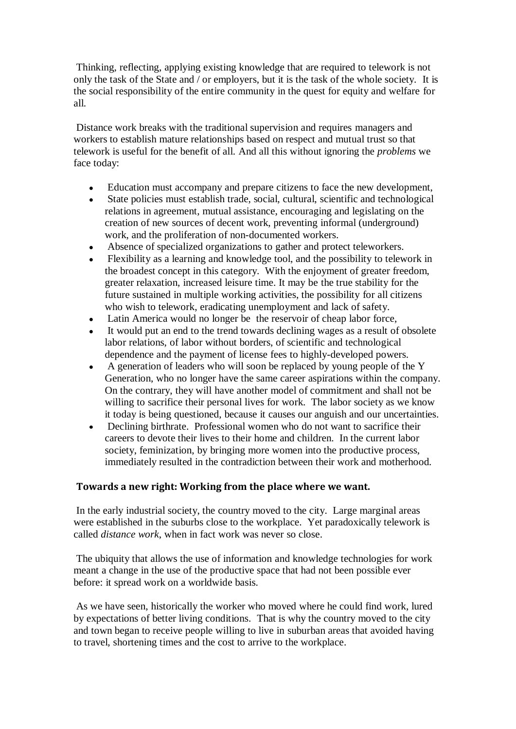Thinking, reflecting, applying existing knowledge that are required to telework is not only the task of the State and / or employers, but it is the task of the whole society. It is the social responsibility of the entire community in the quest for equity and welfare for all.

Distance work breaks with the traditional supervision and requires managers and workers to establish mature relationships based on respect and mutual trust so that telework is useful for the benefit of all. And all this without ignoring the *problems* we face today:

- Education must accompany and prepare citizens to face the new development,
- State policies must establish trade, social, cultural, scientific and technological  $\bullet$ relations in agreement, mutual assistance, encouraging and legislating on the creation of new sources of decent work, preventing informal (underground) work, and the proliferation of non-documented workers.
- Absence of specialized organizations to gather and protect teleworkers.
- Flexibility as a learning and knowledge tool, and the possibility to telework in  $\bullet$ the broadest concept in this category. With the enjoyment of greater freedom, greater relaxation, increased leisure time. It may be the true stability for the future sustained in multiple working activities, the possibility for all citizens who wish to telework, eradicating unemployment and lack of safety.
- Latin America would no longer be the reservoir of cheap labor force,
- It would put an end to the trend towards declining wages as a result of obsolete labor relations, of labor without borders, of scientific and technological dependence and the payment of license fees to highly-developed powers.
- A generation of leaders who will soon be replaced by young people of the Y Generation, who no longer have the same career aspirations within the company. On the contrary, they will have another model of commitment and shall not be willing to sacrifice their personal lives for work. The labor society as we know it today is being questioned, because it causes our anguish and our uncertainties.
- Declining birthrate. Professional women who do not want to sacrifice their careers to devote their lives to their home and children. In the current labor society, feminization, by bringing more women into the productive process, immediately resulted in the contradiction between their work and motherhood.

# **Towards a new right: Working from the place where we want.**

In the early industrial society, the country moved to the city. Large marginal areas were established in the suburbs close to the workplace. Yet paradoxically telework is called *distance work*, when in fact work was never so close.

The ubiquity that allows the use of information and knowledge technologies for work meant a change in the use of the productive space that had not been possible ever before: it spread work on a worldwide basis.

As we have seen, historically the worker who moved where he could find work, lured by expectations of better living conditions. That is why the country moved to the city and town began to receive people willing to live in suburban areas that avoided having to travel, shortening times and the cost to arrive to the workplace.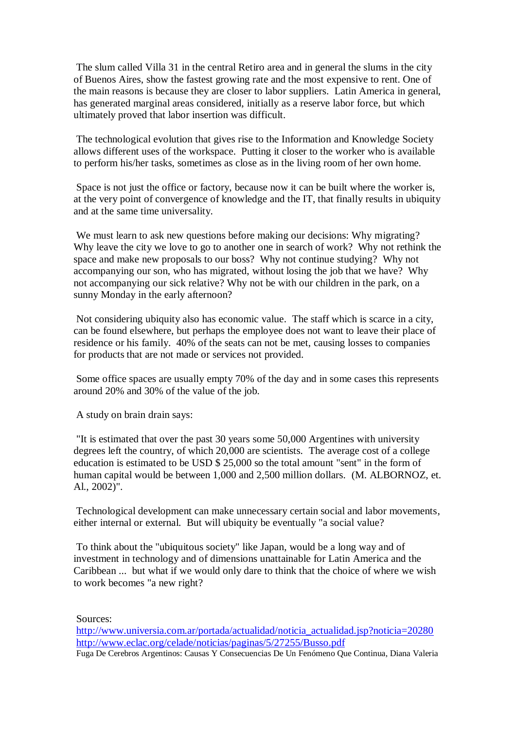The slum called Villa 31 in the central Retiro area and in general the slums in the city of Buenos Aires, show the fastest growing rate and the most expensive to rent. One of the main reasons is because they are closer to labor suppliers. Latin America in general, has generated marginal areas considered, initially as a reserve labor force, but which ultimately proved that labor insertion was difficult.

The technological evolution that gives rise to the Information and Knowledge Society allows different uses of the workspace. Putting it closer to the worker who is available to perform his/her tasks, sometimes as close as in the living room of her own home.

Space is not just the office or factory, because now it can be built where the worker is, at the very point of convergence of knowledge and the IT, that finally results in ubiquity and at the same time universality.

We must learn to ask new questions before making our decisions: Why migrating? Why leave the city we love to go to another one in search of work? Why not rethink the space and make new proposals to our boss? Why not continue studying? Why not accompanying our son, who has migrated, without losing the job that we have? Why not accompanying our sick relative? Why not be with our children in the park, on a sunny Monday in the early afternoon?

Not considering ubiquity also has economic value. The staff which is scarce in a city, can be found elsewhere, but perhaps the employee does not want to leave their place of residence or his family. 40% of the seats can not be met, causing losses to companies for products that are not made or services not provided.

Some office spaces are usually empty 70% of the day and in some cases this represents around 20% and 30% of the value of the job.

A study on brain drain says:

"It is estimated that over the past 30 years some 50,000 Argentines with university degrees left the country, of which 20,000 are scientists. The average cost of a college education is estimated to be USD \$ 25,000 so the total amount "sent" in the form of human capital would be between 1,000 and 2,500 million dollars. (M. ALBORNOZ, et. Al., 2002)".

Technological development can make unnecessary certain social and labor movements, either internal or external. But will ubiquity be eventually "a social value?

To think about the "ubiquitous society" like Japan, would be a long way and of investment in technology and of dimensions unattainable for Latin America and the Caribbean ... but what if we would only dare to think that the choice of where we wish to work becomes "a new right?

Sources:

```
http://www.universia.com.ar/portada/actualidad/noticia_actualidad.jsp?noticia=20280
http://www.eclac.org/celade/noticias/paginas/5/27255/Busso.pdf
Fuga De Cerebros Argentinos: Causas Y Consecuencias De Un Fenómeno Que Continua, Diana Valeria
```